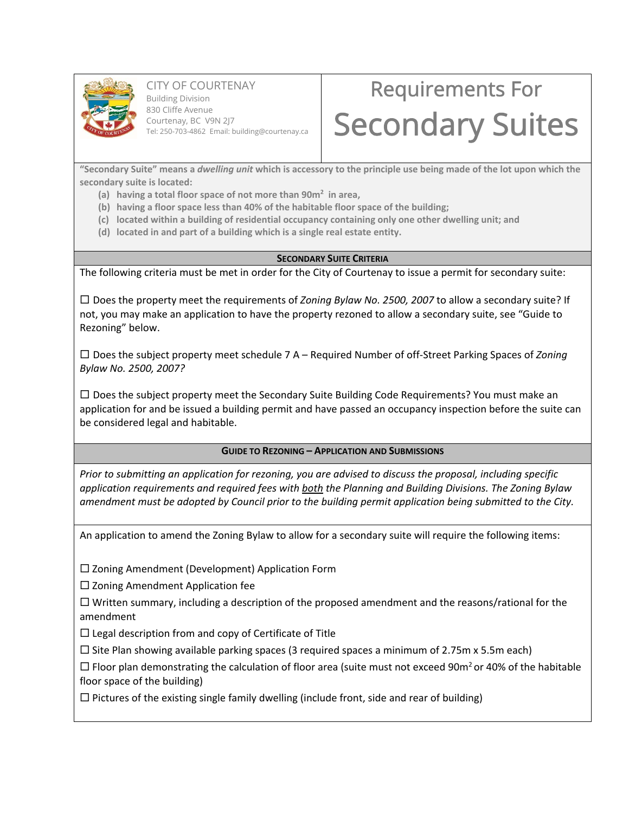

CITY OF COURTENAY Building Division 830 Cliffe Avenue Courtenay, BC V9N 2J7 Tel: 250-703-4862 Email: building@courtenay.ca

# Requirements For Secondary Suites

"Secondary Suite" means a dwelling unit which is accessory to the principle use being made of the lot upon which the **secondary suite is located:**

- **(a) having a total floor space of not more than 90m2 in area,**
- **(b) having a floor space less than 40% of the habitable floor space of the building;**
- **(c) located within a building of residential occupancy containing only one other dwelling unit; and**
- **(d) located in and part of a building which is a single real estate entity.**

#### **SECONDARY SUITE CRITERIA**

The following criteria must be met in order for the City of Courtenay to issue a permit for secondary suite:

 Does the property meet the requirements of *Zoning Bylaw No. 2500, 2007* to allow a secondary suite? If not, you may make an application to have the property rezoned to allow a secondary suite, see "Guide to Rezoning" below.

 Does the subject property meet schedule 7 A – Required Number of off‐Street Parking Spaces of *Zoning Bylaw No. 2500, 2007?*

 $\Box$  Does the subject property meet the Secondary Suite Building Code Requirements? You must make an application for and be issued a building permit and have passed an occupancy inspection before the suite can be considered legal and habitable.

**GUIDE TO REZONING – APPLICATION AND SUBMISSIONS**

*Prior to submitting an application for rezoning, you are advised to discuss the proposal, including specific application requirements and required fees with both the Planning and Building Divisions. The Zoning Bylaw* amendment must be adopted by Council prior to the building permit application being submitted to the City.

An application to amend the Zoning Bylaw to allow for a secondary suite will require the following items:

 $\square$  Zoning Amendment (Development) Application Form

 $\square$  Zoning Amendment Application fee

 $\Box$  Written summary, including a description of the proposed amendment and the reasons/rational for the amendment

 $\Box$  Legal description from and copy of Certificate of Title

 $\square$  Site Plan showing available parking spaces (3 required spaces a minimum of 2.75m x 5.5m each)

 $\Box$  Floor plan demonstrating the calculation of floor area (suite must not exceed 90m<sup>2</sup> or 40% of the habitable floor space of the building)

 $\Box$  Pictures of the existing single family dwelling (include front, side and rear of building)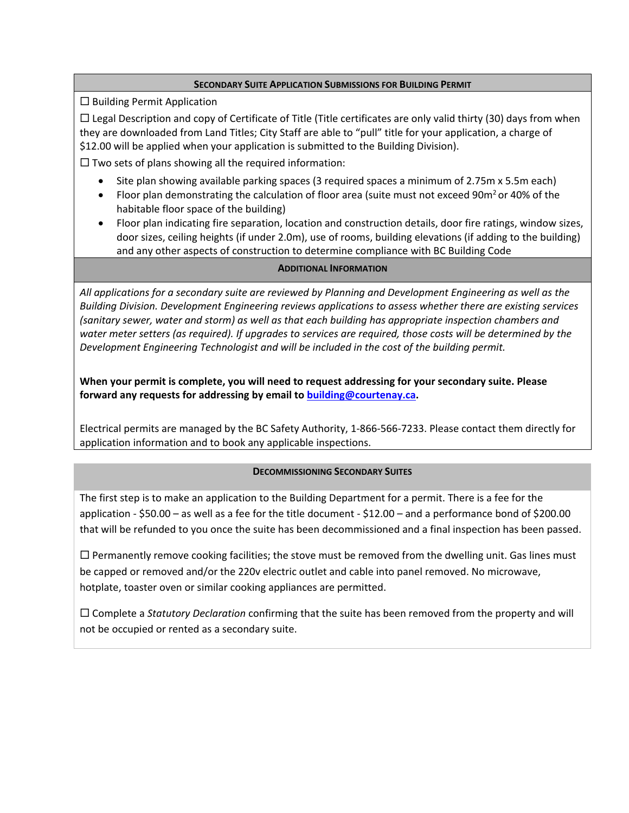#### **SECONDARY SUITE APPLICATION SUBMISSIONS FOR BUILDING PERMIT**

 $\square$  Building Permit Application

 $\Box$  Legal Description and copy of Certificate of Title (Title certificates are only valid thirty (30) days from when they are downloaded from Land Titles; City Staff are able to "pull" title for your application, a charge of \$12.00 will be applied when your application is submitted to the Building Division).

 $\square$  Two sets of plans showing all the required information:

- Site plan showing available parking spaces (3 required spaces a minimum of 2.75m x 5.5m each)
- Floor plan demonstrating the calculation of floor area (suite must not exceed 90m<sup>2</sup> or 40% of the habitable floor space of the building)
- Floor plan indicating fire separation, location and construction details, door fire ratings, window sizes, door sizes, ceiling heights (if under 2.0m), use of rooms, building elevations (if adding to the building) and any other aspects of construction to determine compliance with BC Building Code

### **ADDITIONAL INFORMATION**

All applications for a secondary suite are reviewed by Planning and Development Engineering as well as the *Building Division. Development Engineering reviews applications to assess whether there are existing services (sanitary sewer, water and storm) as well as that each building has appropriate inspection chambers and* water meter setters (as required). If upgrades to services are required, those costs will be determined by the *Development Engineering Technologist and will be included in the cost of the building permit.*

**When your permit is complete, you will need to request addressing for your secondary suite. Please forward any requests for addressing by email to building@courtenay.ca.**

Electrical permits are managed by the BC Safety Authority, 1‐866‐566‐7233. Please contact them directly for application information and to book any applicable inspections.

## **DECOMMISSIONING SECONDARY SUITES**

The first step is to make an application to the Building Department for a permit. There is a fee for the application ‐ \$50.00 – as well as a fee for the title document ‐ \$12.00 – and a performance bond of \$200.00 that will be refunded to you once the suite has been decommissioned and a final inspection has been passed.

 $\Box$  Permanently remove cooking facilities; the stove must be removed from the dwelling unit. Gas lines must be capped or removed and/or the 220v electric outlet and cable into panel removed. No microwave, hotplate, toaster oven or similar cooking appliances are permitted.

 Complete a *Statutory Declaration* confirming that the suite has been removed from the property and will not be occupied or rented as a secondary suite.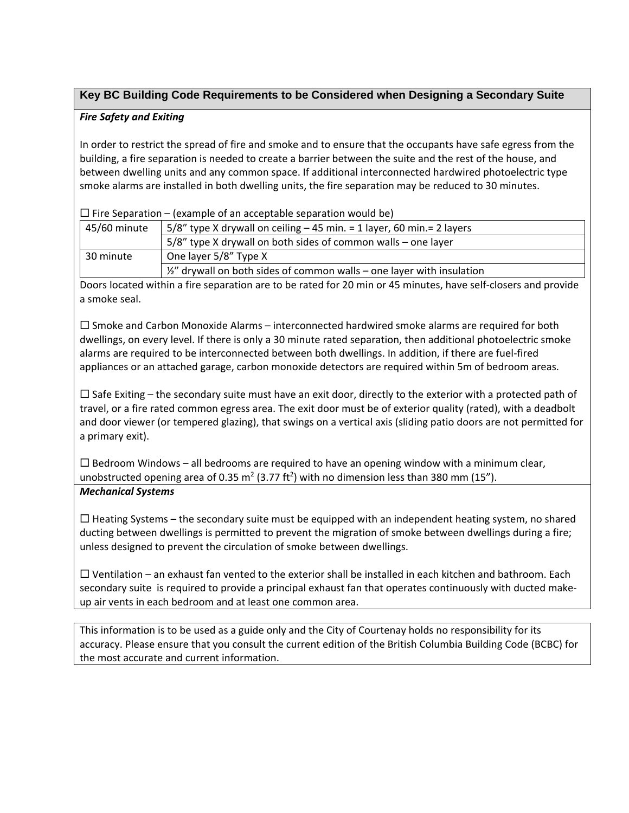# **Key BC Building Code Requirements to be Considered when Designing a Secondary Suite**

## *Fire Safety and Exiting*

In order to restrict the spread of fire and smoke and to ensure that the occupants have safe egress from the building, a fire separation is needed to create a barrier between the suite and the rest of the house, and between dwelling units and any common space. If additional interconnected hardwired photoelectric type smoke alarms are installed in both dwelling units, the fire separation may be reduced to 30 minutes.

 $\Box$  Fire Separation – (example of an acceptable separation would be)

| 45/60 minute | $5/8$ " type X drywall on ceiling $-45$ min. = 1 layer, 60 min. = 2 layers      |
|--------------|---------------------------------------------------------------------------------|
|              | 5/8" type X drywall on both sides of common walls - one layer                   |
| 30 minute    | One layer 5/8" Type X                                                           |
|              | $\frac{1}{2}$ drywall on both sides of common walls – one layer with insulation |

Doors located within a fire separation are to be rated for 20 min or 45 minutes, have self‐closers and provide a smoke seal.

 $\square$  Smoke and Carbon Monoxide Alarms – interconnected hardwired smoke alarms are required for both dwellings, on every level. If there is only a 30 minute rated separation, then additional photoelectric smoke alarms are required to be interconnected between both dwellings. In addition, if there are fuel‐fired appliances or an attached garage, carbon monoxide detectors are required within 5m of bedroom areas.

 $\Box$  Safe Exiting – the secondary suite must have an exit door, directly to the exterior with a protected path of travel, or a fire rated common egress area. The exit door must be of exterior quality (rated), with a deadbolt and door viewer (or tempered glazing), that swings on a vertical axis (sliding patio doors are not permitted for a primary exit).

 $\Box$  Bedroom Windows – all bedrooms are required to have an opening window with a minimum clear, unobstructed opening area of 0.35 m<sup>2</sup> (3.77 ft<sup>2</sup>) with no dimension less than 380 mm (15"). *Mechanical Systems*

 $\Box$  Heating Systems – the secondary suite must be equipped with an independent heating system, no shared ducting between dwellings is permitted to prevent the migration of smoke between dwellings during a fire; unless designed to prevent the circulation of smoke between dwellings.

 $\Box$  Ventilation – an exhaust fan vented to the exterior shall be installed in each kitchen and bathroom. Each secondary suite is required to provide a principal exhaust fan that operates continuously with ducted make‐ up air vents in each bedroom and at least one common area.

This information is to be used as a guide only and the City of Courtenay holds no responsibility for its accuracy. Please ensure that you consult the current edition of the British Columbia Building Code (BCBC) for the most accurate and current information.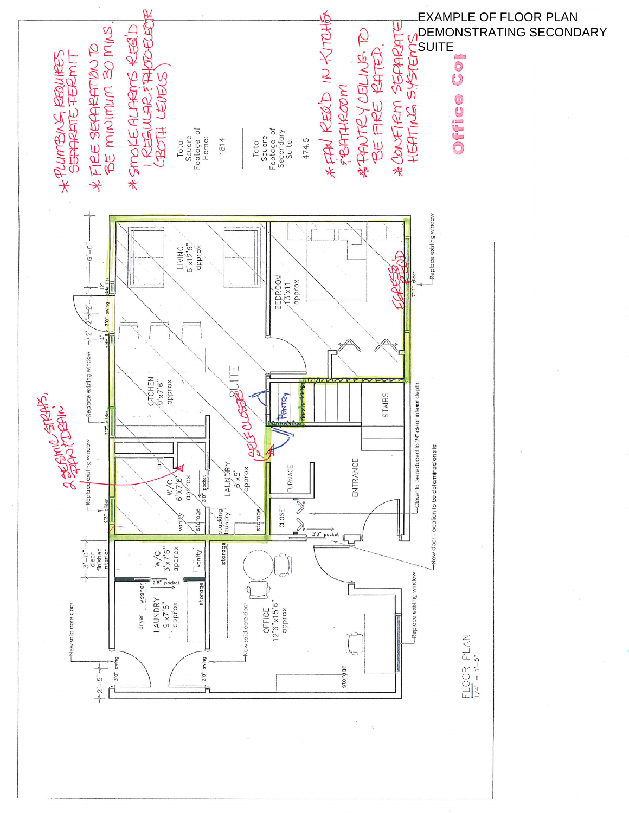